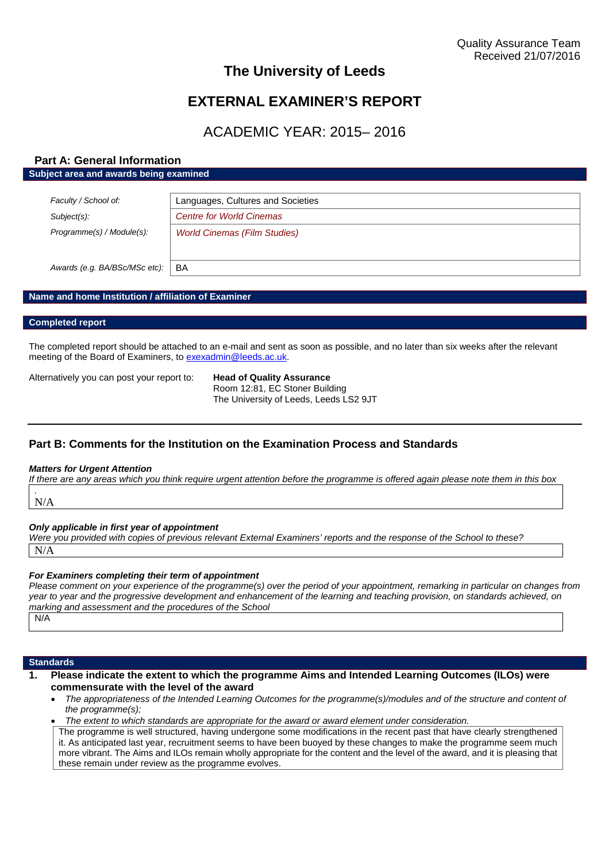# **The University of Leeds**

# **EXTERNAL EXAMINER'S REPORT**

# ACADEMIC YEAR: 2015– 2016

## **Part A: General Information Subject area and awards being examined**

| Faculty / School of:          | Languages, Cultures and Societies   |
|-------------------------------|-------------------------------------|
| Subject(s):                   | <b>Centre for World Cinemas</b>     |
| Programme(s) / Module(s):     | <b>World Cinemas (Film Studies)</b> |
| Awards (e.g. BA/BSc/MSc etc): | BA                                  |

### **Name and home Institution / affiliation of Examiner**

#### **Completed report**

The completed report should be attached to an e-mail and sent as soon as possible, and no later than six weeks after the relevant meeting of the Board of Examiners, to [exexadmin@leeds.ac.uk](mailto:exexadmin@leeds.ac.uk).

Alternatively you can post your report to: **Head of Quality Assurance**

Room 12:81, EC Stoner Building The University of Leeds, Leeds LS2 9JT

## **Part B: Comments for the Institution on the Examination Process and Standards**

#### *Matters for Urgent Attention*

*If there are any areas which you think require urgent attention before the programme is offered again please note them in this box .*

N/A

#### *Only applicable in first year of appointment*

*Were you provided with copies of previous relevant External Examiners' reports and the response of the School to these?* N/A

#### *For Examiners completing their term of appointment*

*Please comment on your experience of the programme(s) over the period of your appointment, remarking in particular on changes from year to year and the progressive development and enhancement of the learning and teaching provision, on standards achieved, on marking and assessment and the procedures of the School*

N/A

#### **Standards**

- **1. Please indicate the extent to which the programme Aims and Intended Learning Outcomes (ILOs) were commensurate with the level of the award**
	- *The appropriateness of the Intended Learning Outcomes for the programme(s)/modules and of the structure and content of the programme(s);*

*The extent to which standards are appropriate for the award or award element under consideration.*

The programme is well structured, having undergone some modifications in the recent past that have clearly strengthened it. As anticipated last year, recruitment seems to have been buoyed by these changes to make the programme seem much more vibrant. The Aims and ILOs remain wholly appropriate for the content and the level of the award, and it is pleasing that these remain under review as the programme evolves.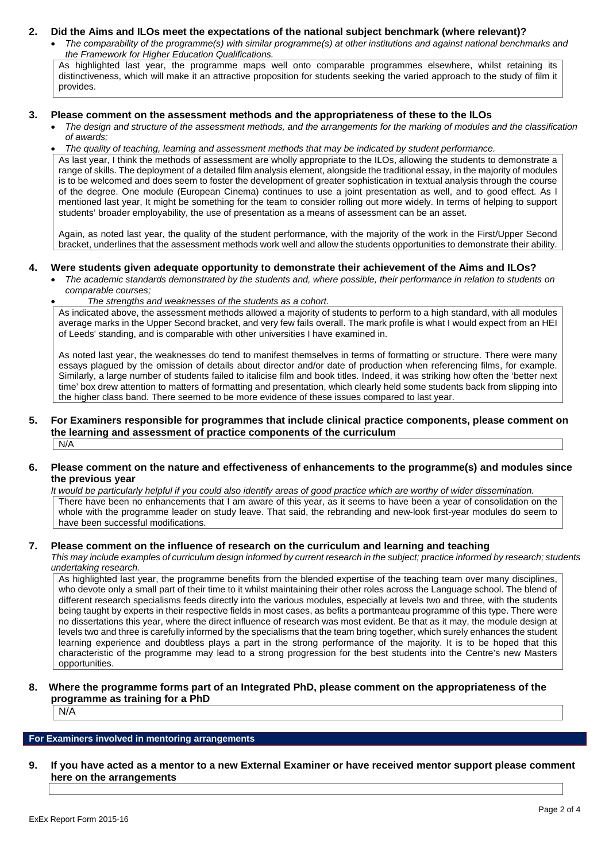### **2. Did the Aims and ILOs meet the expectations of the national subject benchmark (where relevant)?**

 *The comparability of the programme(s) with similar programme(s) at other institutions and against national benchmarks and the Framework for Higher Education Qualifications.*

As highlighted last year, the programme maps well onto comparable programmes elsewhere, whilst retaining its distinctiveness, which will make it an attractive proposition for students seeking the varied approach to the study of film it provides.

#### **3. Please comment on the assessment methods and the appropriateness of these to the ILOs**

- *The design and structure of the assessment methods, and the arrangements for the marking of modules and the classification of awards;*
- *The quality of teaching, learning and assessment methods that may be indicated by student performance.*

As last year, I think the methods of assessment are wholly appropriate to the ILOs, allowing the students to demonstrate a range of skills. The deployment of a detailed film analysis element, alongside the traditional essay, in the majority of modules is to be welcomed and does seem to foster the development of greater sophistication in textual analysis through the course of the degree. One module (European Cinema) continues to use a joint presentation as well, and to good effect. As I mentioned last year, It might be something for the team to consider rolling out more widely. In terms of helping to support students' broader employability, the use of presentation as a means of assessment can be an asset.

Again, as noted last year, the quality of the student performance, with the majority of the work in the First/Upper Second bracket, underlines that the assessment methods work well and allow the students opportunities to demonstrate their ability.

#### **4. Were students given adequate opportunity to demonstrate their achievement of the Aims and ILOs?**

- *The academic standards demonstrated by the students and, where possible, their performance in relation to students on comparable courses;*
	- *The strengths and weaknesses of the students as a cohort.*

As indicated above, the assessment methods allowed a majority of students to perform to a high standard, with all modules average marks in the Upper Second bracket, and very few fails overall. The mark profile is what I would expect from an HEI of Leeds' standing, and is comparable with other universities I have examined in.

As noted last year, the weaknesses do tend to manifest themselves in terms of formatting or structure. There were many essays plagued by the omission of details about director and/or date of production when referencing films, for example. Similarly, a large number of students failed to italicise film and book titles. Indeed, it was striking how often the 'better next time' box drew attention to matters of formatting and presentation, which clearly held some students back from slipping into the higher class band. There seemed to be more evidence of these issues compared to last year.

#### **5. For Examiners responsible for programmes that include clinical practice components, please comment on the learning and assessment of practice components of the curriculum** N/A

#### **6. Please comment on the nature and effectiveness of enhancements to the programme(s) and modules since the previous year**

*It would be particularly helpful if you could also identify areas of good practice which are worthy of wider dissemination.* There have been no enhancements that I am aware of this year, as it seems to have been a year of consolidation on the whole with the programme leader on study leave. That said, the rebranding and new-look first-year modules do seem to have been successful modifications.

#### **7. Please comment on the influence of research on the curriculum and learning and teaching**

*This may include examples of curriculum design informed by current research in the subject; practice informed by research; students undertaking research.*

As highlighted last year, the programme benefits from the blended expertise of the teaching team over many disciplines, who devote only a small part of their time to it whilst maintaining their other roles across the Language school. The blend of different research specialisms feeds directly into the various modules, especially at levels two and three, with the students being taught by experts in their respective fields in most cases, as befits a portmanteau programme of this type. There were no dissertations this year, where the direct influence of research was most evident. Be that as it may, the module design at levels two and three is carefully informed by the specialisms that the team bring together, which surely enhances the student learning experience and doubtless plays a part in the strong performance of the majority. It is to be hoped that this characteristic of the programme may lead to a strong progression for the best students into the Centre's new Masters opportunities.

### **8. Where the programme forms part of an Integrated PhD, please comment on the appropriateness of the programme as training for a PhD**

N/A

## **For Examiners involved in mentoring arrangements**

**9. If you have acted as a mentor to a new External Examiner or have received mentor support please comment here on the arrangements**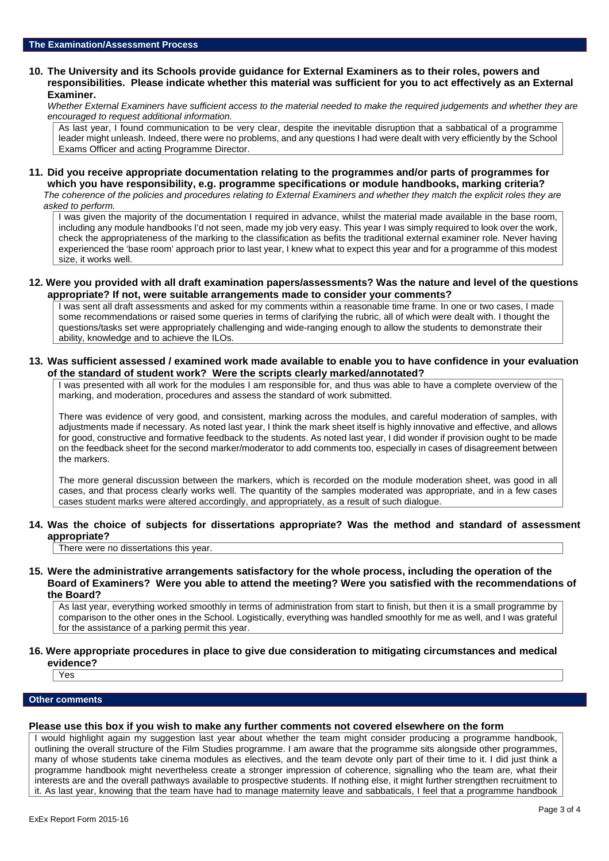#### **10. The University and its Schools provide guidance for External Examiners as to their roles, powers and responsibilities. Please indicate whether this material was sufficient for you to act effectively as an External Examiner.**

*Whether External Examiners have sufficient access to the material needed to make the required judgements and whether they are encouraged to request additional information.*

As last year, I found communication to be very clear, despite the inevitable disruption that a sabbatical of a programme leader might unleash. Indeed, there were no problems, and any questions I had were dealt with very efficiently by the School Exams Officer and acting Programme Director.

#### **11. Did you receive appropriate documentation relating to the programmes and/or parts of programmes for which you have responsibility, e.g. programme specifications or module handbooks, marking criteria?**

*The coherence of the policies and procedures relating to External Examiners and whether they match the explicit roles they are asked to perform.*

I was given the majority of the documentation I required in advance, whilst the material made available in the base room, including any module handbooks I'd not seen, made my job very easy. This year I was simply required to look over the work, check the appropriateness of the marking to the classification as befits the traditional external examiner role. Never having experienced the 'base room' approach prior to last year, I knew what to expect this year and for a programme of this modest size, it works well.

#### **12. Were you provided with all draft examination papers/assessments? Was the nature and level of the questions appropriate? If not, were suitable arrangements made to consider your comments?**

I was sent all draft assessments and asked for my comments within a reasonable time frame. In one or two cases, I made some recommendations or raised some queries in terms of clarifying the rubric, all of which were dealt with. I thought the questions/tasks set were appropriately challenging and wide-ranging enough to allow the students to demonstrate their ability, knowledge and to achieve the ILOs.

#### **13. Was sufficient assessed / examined work made available to enable you to have confidence in your evaluation of the standard of student work? Were the scripts clearly marked/annotated?**

I was presented with all work for the modules I am responsible for, and thus was able to have a complete overview of the marking, and moderation, procedures and assess the standard of work submitted.

There was evidence of very good, and consistent, marking across the modules, and careful moderation of samples, with adjustments made if necessary. As noted last year, I think the mark sheet itself is highly innovative and effective, and allows for good, constructive and formative feedback to the students. As noted last year, I did wonder if provision ought to be made on the feedback sheet for the second marker/moderator to add comments too, especially in cases of disagreement between the markers.

The more general discussion between the markers, which is recorded on the module moderation sheet, was good in all cases, and that process clearly works well. The quantity of the samples moderated was appropriate, and in a few cases cases student marks were altered accordingly, and appropriately, as a result of such dialogue.

**14. Was the choice of subjects for dissertations appropriate? Was the method and standard of assessment appropriate?**

There were no dissertations this year.

**15. Were the administrative arrangements satisfactory for the whole process, including the operation of the Board of Examiners? Were you able to attend the meeting? Were you satisfied with the recommendations of the Board?**

As last year, everything worked smoothly in terms of administration from start to finish, but then it is a small programme by comparison to the other ones in the School. Logistically, everything was handled smoothly for me as well, and I was grateful for the assistance of a parking permit this year.

#### **16. Were appropriate procedures in place to give due consideration to mitigating circumstances and medical evidence?**

Yes

#### **Other comments**

## **Please use this box if you wish to make any further comments not covered elsewhere on the form**

I would highlight again my suggestion last year about whether the team might consider producing a programme handbook, outlining the overall structure of the Film Studies programme. I am aware that the programme sits alongside other programmes, many of whose students take cinema modules as electives, and the team devote only part of their time to it. I did just think a programme handbook might nevertheless create a stronger impression of coherence, signalling who the team are, what their interests are and the overall pathways available to prospective students. If nothing else, it might further strengthen recruitment to it. As last year, knowing that the team have had to manage maternity leave and sabbaticals, I feel that a programme handbook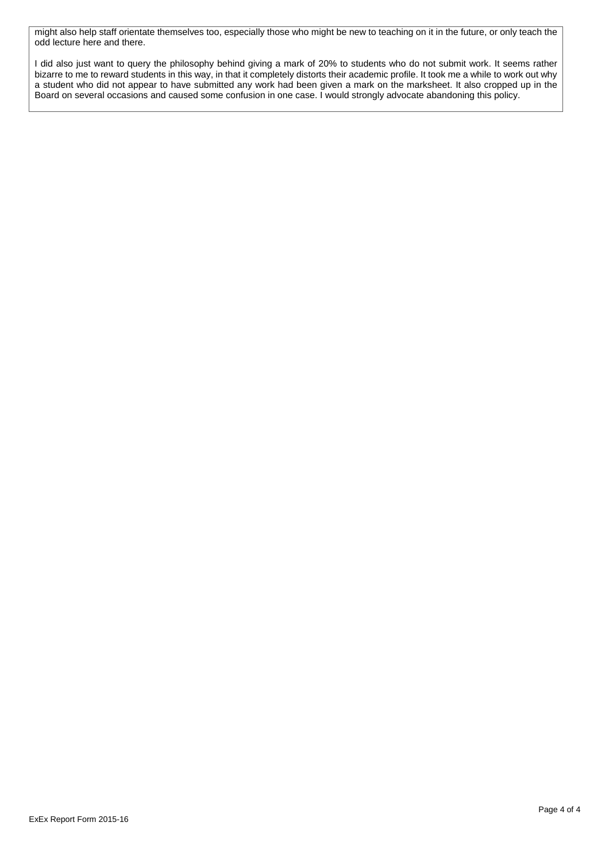might also help staff orientate themselves too, especially those who might be new to teaching on it in the future, or only teach the odd lecture here and there.

I did also just want to query the philosophy behind giving a mark of 20% to students who do not submit work. It seems rather bizarre to me to reward students in this way, in that it completely distorts their academic profile. It took me a while to work out why a student who did not appear to have submitted any work had been given a mark on the marksheet. It also cropped up in the Board on several occasions and caused some confusion in one case. I would strongly advocate abandoning this policy.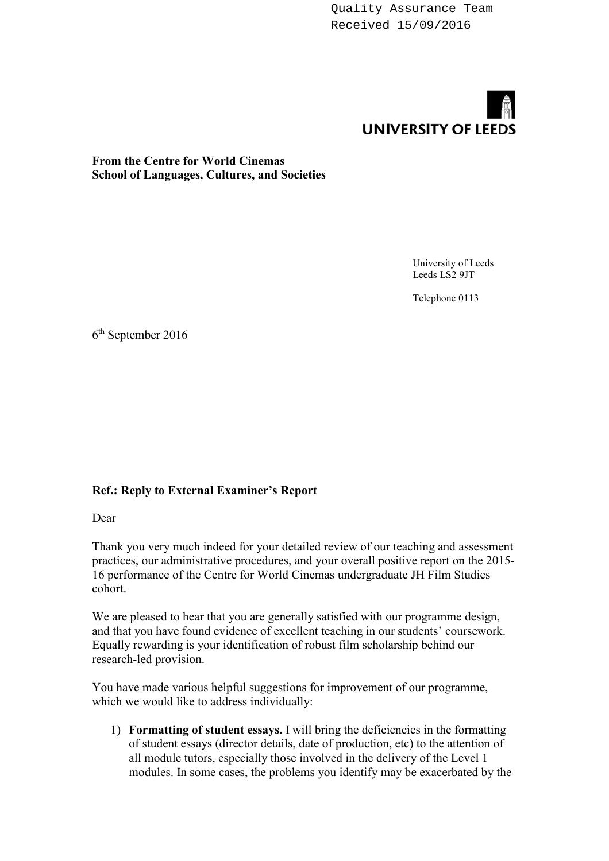Quality Assurance Team Received 15/09/2016



# **From the Centre for World Cinemas School of Languages, Cultures, and Societies**

University of Leeds Leeds LS2 9JT

Telephone 0113

6 th September 2016

## **Ref.: Reply to External Examiner's Report**

Dear

Thank you very much indeed for your detailed review of our teaching and assessment practices, our administrative procedures, and your overall positive report on the 2015- 16 performance of the Centre for World Cinemas undergraduate JH Film Studies cohort.

We are pleased to hear that you are generally satisfied with our programme design, and that you have found evidence of excellent teaching in our students' coursework. Equally rewarding is your identification of robust film scholarship behind our research-led provision.

You have made various helpful suggestions for improvement of our programme, which we would like to address individually:

1) **Formatting of student essays.** I will bring the deficiencies in the formatting of student essays (director details, date of production, etc) to the attention of all module tutors, especially those involved in the delivery of the Level 1 modules. In some cases, the problems you identify may be exacerbated by the